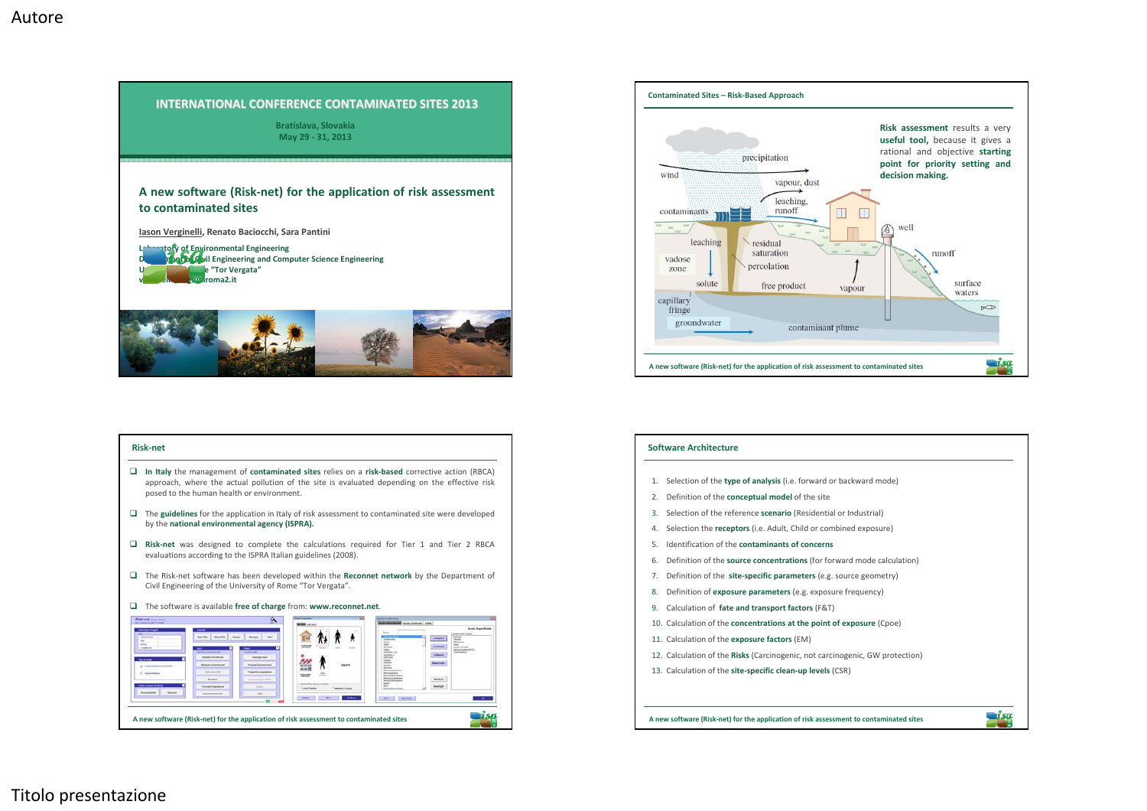



## **Risk‐net**



<u>aisa</u>

**A new software (Risk‐net) for the application of risk assessment to contaminated sites**

## **Software Architecture**

- 1. Selection of the **type of analysis** (i.e. forward or backward mode)
- 2. Definition of the **conceptual model** of the site
- 3. Selection of the reference **scenario** (Residential or Industrial)
- 4. Selection the **receptors** (i.e. Adult, Child or combined exposure)
- 5. Identification of the **contaminants of concerns**
- 6. Definition of the **source concentrations** (for forward mode calculation)
- 7. Definition of the **site‐specific parameters** (e.g. source geometry)
- 8. Definition of **exposure parameters** (e.g. exposure frequency)
- 9. Calculation of **fate and transport factors** (F&T)
- 10. Calculation of the **concentrations at the point of exposure** (Cpoe)
- 11. Calculation of the **exposure factors** (EM)
- 12. Calculation of the **Risks** (Carcinogenic, not carcinogenic, GW protection)
- 13. Calculation of the **site‐specific clean‐up levels** (CSR)

**A new software (Risk‐net) for the application of risk assessment to contaminated sites**

<u>nisa</u>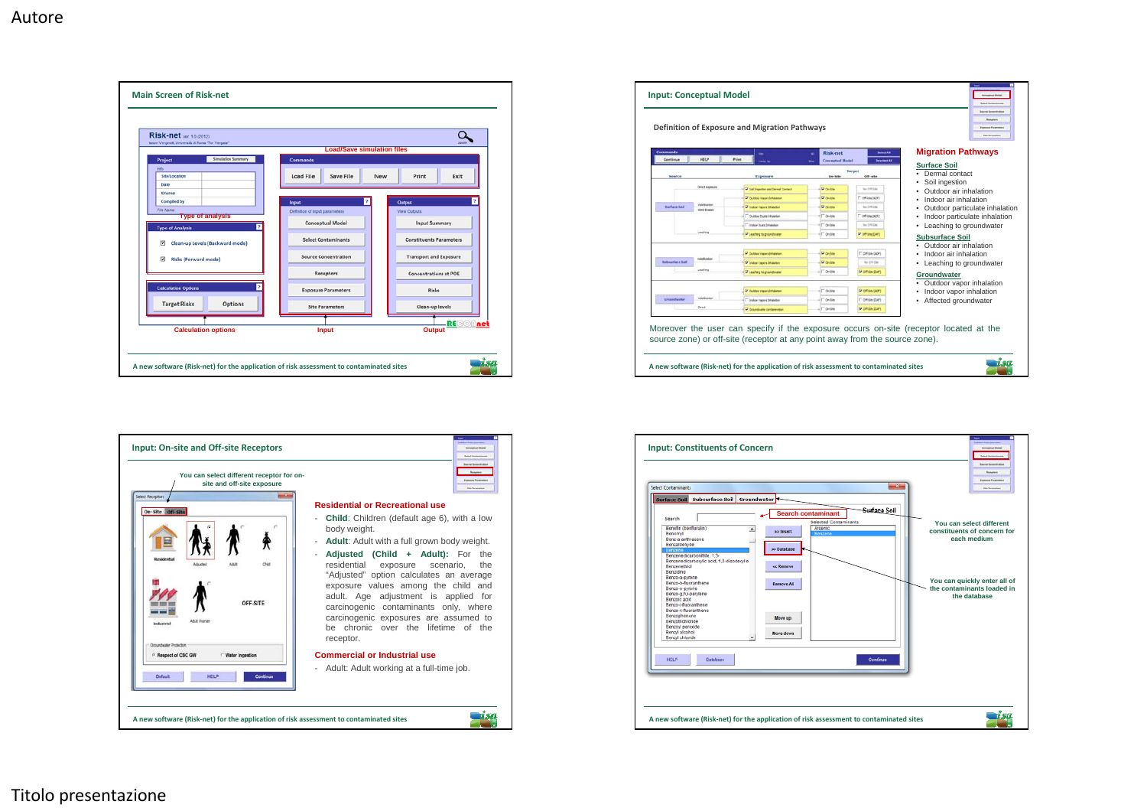

| You can select different receptor for on-<br>site and off-site exposure<br><b>Select Receptors</b> | <b>Staff prompt</b>                                                                                                                                                                                                                                                                                                                                 |
|----------------------------------------------------------------------------------------------------|-----------------------------------------------------------------------------------------------------------------------------------------------------------------------------------------------------------------------------------------------------------------------------------------------------------------------------------------------------|
| On-Site Off-Site                                                                                   | <b>Residential or Recreational use</b>                                                                                                                                                                                                                                                                                                              |
|                                                                                                    | <b>Child:</b> Children (default age 6), with a low<br>ä,<br>body weight.                                                                                                                                                                                                                                                                            |
|                                                                                                    | Adult: Adult with a full grown body weight.<br>٠                                                                                                                                                                                                                                                                                                    |
| Besidential<br>OFF-SITE<br>Adult Worker<br><b>England State</b><br><b>Oroundwater Protector</b>    | Adjusted (Child + Adult): For the<br>ä,<br>residential exposure<br>scenario.<br>the<br>"Adjusted" option calculates an average<br>exposure values among the child and<br>adult. Age adjustment is applied for<br>carcinogenic contaminants only, where<br>carcinogenic exposures are assumed to<br>be chronic over the lifetime of the<br>receptor. |
| <sup>6</sup> Respect of CSC GW<br>Water Ingestion                                                  | <b>Commercial or Industrial use</b>                                                                                                                                                                                                                                                                                                                 |
| <b>HELP</b><br>Default<br>Continue                                                                 | Adult: Adult working at a full-time job.<br>٠                                                                                                                                                                                                                                                                                                       |

| <b>Commands</b><br>Centinue | HELP                                  | m<br>Primt.<br><b>Lang N</b>           | Risk-net<br><b>Conceptual Model</b> | Select All<br><b>Department Add</b> | <b>Migration Pathways</b><br><b>Surface Soil</b> |
|-----------------------------|---------------------------------------|----------------------------------------|-------------------------------------|-------------------------------------|--------------------------------------------------|
|                             |                                       |                                        | Target<br><b>Do-Site</b>            | Off-arter                           | Dermal contact                                   |
| Source                      |                                       | Exposure                               |                                     |                                     | Soil ingestion                                   |
|                             | <b>Continental</b>                    | 57 Sal Inserters and Derival Cartheli  | <b>Didas</b>                        | the U.S. Like                       | Outdoor air inhalation                           |
|                             |                                       | TP Cumbor Ingigra Inhalaston           | <b>Pi ce-tre</b>                    | IT Off-line (ADF)                   | Indoor air inhalation                            |
| <b>Surface Sed</b>          | Valablastian<br><b>World Streaker</b> | <b>SF</b> Indoor Vacura Intuitution    | <b>Di Cerdite</b>                   | To UK 184                           | Outdoor particulate inhalation                   |
|                             |                                       | <sup>T</sup> Outdoor Dunk 3-Rationer   | IT OH SHA                           | T Off Ste DOF!                      | Indoor particulate inhalation                    |
|                             |                                       | <sup>T</sup> Industrial Detailedge     | IT over                             | No 1/4 Day                          | Leaching to groundwater                          |
|                             | Leadway                               | P Leading to groundmater               | IT over                             | POTOMONT                            | <b>Subsurface Soil</b>                           |
|                             |                                       |                                        |                                     |                                     | • Outdoor air inhalation                         |
|                             |                                       | D Culture Issues Studenton             | <b>Di centre</b>                    | T" Off-Saw (ADF)                    | Indoor air inhalation                            |
| <b>Subscribes had</b>       | <b>Valentice Ave</b>                  | R Sylvan Tapers Ethaletter             | <b>Ployes</b>                       | By OKDA                             | Leaching to groundwater<br>۰                     |
|                             | Leaderg                               | <b>W Leading to gravedness</b>         | IT over                             | <b>Q</b> CIRSON CAPT                | Groundwater                                      |
|                             |                                       |                                        |                                     |                                     | • Outdoor vapor inhalation                       |
|                             |                                       | <b>Di Question manora è fratamento</b> | $\Gamma$ o-sw                       | Di celliste (acir)                  | Indoor vapor inhalation                          |
| Greensheater                | <b><i><u>Stakeholden</u></i></b>      | <sup>11</sup> Indoor Kanny Drivesbar   | <b>F</b> de file                    | IT CARAGO CUPS                      | Affected groundwater<br>۰                        |
|                             | Deed                                  | <b>P Gardwin orienses</b>              | <b>T</b> guide                      | <b>U crisis can</b>                 |                                                  |

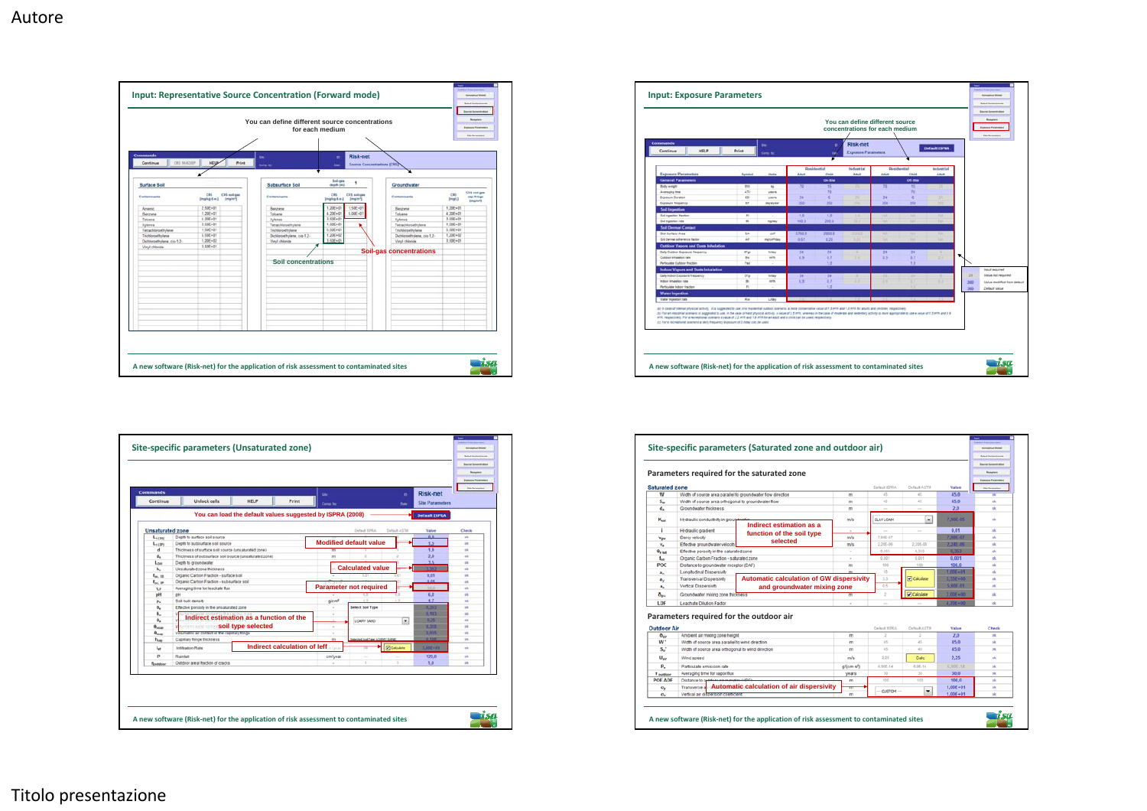

| su.<br><b>Camp to</b><br><b>United</b><br>temper<br>thos<br><b>NE</b><br>ATE<br><b>VERTS</b><br>m | Adult<br>$70^{\circ}$ | Residential<br>Child<br>On Mile      | Risk-net<br>Exposizes Parameters<br>Industrial<br>Adult | Adult         | Residential<br>Child                | Default ISPEA<br>Industrial |     |                             |
|---------------------------------------------------------------------------------------------------|-----------------------|--------------------------------------|---------------------------------------------------------|---------------|-------------------------------------|-----------------------------|-----|-----------------------------|
|                                                                                                   |                       |                                      |                                                         |               |                                     |                             |     |                             |
|                                                                                                   |                       |                                      |                                                         |               |                                     |                             |     |                             |
|                                                                                                   |                       |                                      |                                                         |               |                                     |                             |     |                             |
|                                                                                                   |                       |                                      |                                                         |               |                                     | Adult                       |     |                             |
|                                                                                                   |                       |                                      |                                                         |               | Off. Nils                           |                             |     |                             |
|                                                                                                   |                       | 15<br>$\overline{\phantom{a}}$       | 再                                                       | Ħ             | 15<br>$\overline{10}$               | ×                           |     |                             |
|                                                                                                   | 24                    | ×                                    | ×                                                       | $\mathbb{R}$  | ×                                   | ×                           |     |                             |
| years.<br>tr.<br>developed                                                                        | 350                   | 550                                  |                                                         | 360           | 358                                 |                             |     |                             |
|                                                                                                   |                       |                                      |                                                         |               |                                     |                             |     |                             |
| $\overline{1}$<br>$\sim$                                                                          |                       |                                      |                                                         |               |                                     | <b>TUT</b>                  |     |                             |
| $\overline{\phantom{a}}$                                                                          |                       |                                      | 12.0                                                    | m             | ш                                   | <b>CALL</b>                 |     |                             |
|                                                                                                   |                       |                                      |                                                         |               |                                     |                             |     |                             |
| ta.<br>$\sim$                                                                                     | 5750.0                | 2000 0                               | 133.0                                                   | $\rightarrow$ | w                                   | ٠                           |     |                             |
| $\Delta I$<br>ingconfided                                                                         | 0.07                  | 6.29                                 | <b>WIND</b>                                             | <b>TEX</b>    | TO.                                 | <b>Sale</b>                 |     |                             |
|                                                                                                   |                       |                                      |                                                         |               |                                     |                             |     |                             |
| <b>Ardwa</b>                                                                                      |                       |                                      | ٠                                                       |               |                                     |                             |     |                             |
| 14<br>wh.                                                                                         |                       |                                      |                                                         |               |                                     | 25                          | ҡ   |                             |
| Pad<br>÷                                                                                          |                       | 18                                   |                                                         |               | 13                                  |                             |     |                             |
|                                                                                                   |                       |                                      |                                                         |               |                                     |                             |     | <b>Institutes Suppliers</b> |
| <b>U'ai</b><br><b>Witnes</b>                                                                      | $\overline{a}$        | 24                                   |                                                         |               |                                     |                             | 78  | Value Aut required          |
| ×<br>arts.                                                                                        | 0.9                   | 0.7                                  | $\sim$                                                  | $\cdots$      |                                     | o                           |     | Value modified from peteut! |
| $\sim$                                                                                            |                       | 13                                   |                                                         |               |                                     |                             | 300 | Default Value               |
|                                                                                                   |                       |                                      |                                                         |               |                                     |                             |     |                             |
| Bo.<br>Litey                                                                                      |                       |                                      |                                                         |               |                                     |                             |     |                             |
|                                                                                                   | mploky<br>that        | 10<br>100.8<br>$\overline{24}$<br>立车 | 10<br>200.0<br>24<br>0.7                                | 25            | ,,<br>$\overline{\mathbf{z}}$<br>京子 | m<br>24<br>0.7              |     | 300                         |



| Width of source area orthogonal to groundwater flow<br>Groundwater thickness<br>Hydraulic conductivity in groupdwater<br>Hydraulic gradient<br>Darcy velocity<br>Effective groundwater velocity<br>Effective porosity in the saturated zone<br>Organic Carbon Fraction - saturated zone<br>Distance to groundwater receptor (DAF)<br><b>Longitudinal Dispersivity</b><br><b>Transversal Dispersivity</b><br>Vertical Dispersivity<br>Groundwater mixing zone thickness | Width of source area parallel to groundwater flow direction<br>Indirect estimation as a<br>function of the soil type<br>selected<br><b>Automatic calculation of GW dispersivity</b> | m<br>m<br>m<br>m/s<br>$\alpha$<br>m/s<br>m/s<br>÷<br>٠<br>m                                                                                                                   | Default KPRA<br>45<br>45<br>$\sim$<br><b>CLAY LOAM</b><br>$\sim$<br>7,905-07<br>2,20E-06<br>0.353<br>0.001<br>100<br>10 | Default ASTM<br>4š.<br>45<br>$\sim$<br>۰<br>$\sim$<br>2,20E-06<br>0.353<br>0.001<br>100 | Value<br>45.0<br>45.0<br>2.0<br>7,90E-05<br>0.01<br>7,90E-07<br>2.24E-06<br>0.353<br>0.001<br>100.0 | <b>Executive Parameters</b><br><b>Enj-Terminist</b><br><b>DK</b><br>ek<br>ok<br>ok<br>ok<br>6k<br>ok<br>ek<br>ok |
|------------------------------------------------------------------------------------------------------------------------------------------------------------------------------------------------------------------------------------------------------------------------------------------------------------------------------------------------------------------------------------------------------------------------------------------------------------------------|-------------------------------------------------------------------------------------------------------------------------------------------------------------------------------------|-------------------------------------------------------------------------------------------------------------------------------------------------------------------------------|-------------------------------------------------------------------------------------------------------------------------|-----------------------------------------------------------------------------------------|-----------------------------------------------------------------------------------------------------|------------------------------------------------------------------------------------------------------------------|
|                                                                                                                                                                                                                                                                                                                                                                                                                                                                        |                                                                                                                                                                                     |                                                                                                                                                                               |                                                                                                                         |                                                                                         |                                                                                                     |                                                                                                                  |
|                                                                                                                                                                                                                                                                                                                                                                                                                                                                        |                                                                                                                                                                                     |                                                                                                                                                                               |                                                                                                                         |                                                                                         |                                                                                                     |                                                                                                                  |
|                                                                                                                                                                                                                                                                                                                                                                                                                                                                        |                                                                                                                                                                                     |                                                                                                                                                                               |                                                                                                                         |                                                                                         |                                                                                                     |                                                                                                                  |
|                                                                                                                                                                                                                                                                                                                                                                                                                                                                        |                                                                                                                                                                                     |                                                                                                                                                                               |                                                                                                                         |                                                                                         |                                                                                                     |                                                                                                                  |
|                                                                                                                                                                                                                                                                                                                                                                                                                                                                        |                                                                                                                                                                                     |                                                                                                                                                                               |                                                                                                                         |                                                                                         |                                                                                                     |                                                                                                                  |
|                                                                                                                                                                                                                                                                                                                                                                                                                                                                        |                                                                                                                                                                                     |                                                                                                                                                                               |                                                                                                                         |                                                                                         |                                                                                                     |                                                                                                                  |
|                                                                                                                                                                                                                                                                                                                                                                                                                                                                        |                                                                                                                                                                                     |                                                                                                                                                                               |                                                                                                                         |                                                                                         |                                                                                                     |                                                                                                                  |
|                                                                                                                                                                                                                                                                                                                                                                                                                                                                        |                                                                                                                                                                                     |                                                                                                                                                                               |                                                                                                                         |                                                                                         |                                                                                                     |                                                                                                                  |
|                                                                                                                                                                                                                                                                                                                                                                                                                                                                        |                                                                                                                                                                                     |                                                                                                                                                                               |                                                                                                                         |                                                                                         |                                                                                                     |                                                                                                                  |
|                                                                                                                                                                                                                                                                                                                                                                                                                                                                        |                                                                                                                                                                                     |                                                                                                                                                                               |                                                                                                                         |                                                                                         |                                                                                                     |                                                                                                                  |
|                                                                                                                                                                                                                                                                                                                                                                                                                                                                        |                                                                                                                                                                                     |                                                                                                                                                                               |                                                                                                                         |                                                                                         |                                                                                                     |                                                                                                                  |
|                                                                                                                                                                                                                                                                                                                                                                                                                                                                        |                                                                                                                                                                                     |                                                                                                                                                                               |                                                                                                                         |                                                                                         |                                                                                                     | <b>ok</b>                                                                                                        |
|                                                                                                                                                                                                                                                                                                                                                                                                                                                                        |                                                                                                                                                                                     |                                                                                                                                                                               |                                                                                                                         |                                                                                         | $1,00E - 01$                                                                                        | ek                                                                                                               |
|                                                                                                                                                                                                                                                                                                                                                                                                                                                                        |                                                                                                                                                                                     |                                                                                                                                                                               | 3.3                                                                                                                     | Calculate                                                                               | $3.33E - 00$                                                                                        | ok.                                                                                                              |
|                                                                                                                                                                                                                                                                                                                                                                                                                                                                        | and groundwater mixing zone                                                                                                                                                         |                                                                                                                                                                               | 0.5                                                                                                                     |                                                                                         | 5,00E.01                                                                                            | еk                                                                                                               |
|                                                                                                                                                                                                                                                                                                                                                                                                                                                                        |                                                                                                                                                                                     |                                                                                                                                                                               | $\overline{z}$                                                                                                          | <b>D</b> Calculate                                                                      | 2,00E+00                                                                                            | <b>ok</b>                                                                                                        |
| Leachate Dilution Factor                                                                                                                                                                                                                                                                                                                                                                                                                                               |                                                                                                                                                                                     | $\sim$                                                                                                                                                                        | $\sim$                                                                                                                  | $\sim$                                                                                  | $4.70E + 00$                                                                                        | ok                                                                                                               |
|                                                                                                                                                                                                                                                                                                                                                                                                                                                                        | Parameters required for the outdoor air                                                                                                                                             |                                                                                                                                                                               | Default ISPRA                                                                                                           | Default ASTM                                                                            | Value                                                                                               | Check                                                                                                            |
|                                                                                                                                                                                                                                                                                                                                                                                                                                                                        |                                                                                                                                                                                     | m                                                                                                                                                                             | 2                                                                                                                       | 2                                                                                       |                                                                                                     | ok                                                                                                               |
|                                                                                                                                                                                                                                                                                                                                                                                                                                                                        |                                                                                                                                                                                     |                                                                                                                                                                               |                                                                                                                         |                                                                                         |                                                                                                     | ok                                                                                                               |
|                                                                                                                                                                                                                                                                                                                                                                                                                                                                        |                                                                                                                                                                                     |                                                                                                                                                                               |                                                                                                                         |                                                                                         |                                                                                                     | <b>ok</b>                                                                                                        |
| Wind speed                                                                                                                                                                                                                                                                                                                                                                                                                                                             |                                                                                                                                                                                     |                                                                                                                                                                               |                                                                                                                         | Calc                                                                                    |                                                                                                     | ok                                                                                                               |
| Particulate emission rate                                                                                                                                                                                                                                                                                                                                                                                                                                              |                                                                                                                                                                                     | g/(cm-s <sup>e</sup> )                                                                                                                                                        | 6,90E-14                                                                                                                | $6,96-14$                                                                               | 6.90E-14                                                                                            | ok                                                                                                               |
| Averaging time for vapor flux                                                                                                                                                                                                                                                                                                                                                                                                                                          |                                                                                                                                                                                     | years                                                                                                                                                                         | 30                                                                                                                      | 30                                                                                      | 30.0                                                                                                | ok                                                                                                               |
| Distance to order                                                                                                                                                                                                                                                                                                                                                                                                                                                      |                                                                                                                                                                                     | m                                                                                                                                                                             | 100                                                                                                                     | 100                                                                                     | 100.0                                                                                               | ok                                                                                                               |
| Transverse a                                                                                                                                                                                                                                                                                                                                                                                                                                                           |                                                                                                                                                                                     | m                                                                                                                                                                             |                                                                                                                         |                                                                                         | $1,00E + 01$                                                                                        | ek.                                                                                                              |
|                                                                                                                                                                                                                                                                                                                                                                                                                                                                        |                                                                                                                                                                                     | m                                                                                                                                                                             |                                                                                                                         |                                                                                         | $1.00E + 01$                                                                                        | ok                                                                                                               |
|                                                                                                                                                                                                                                                                                                                                                                                                                                                                        |                                                                                                                                                                                     | Ambient air mixing zone height<br>Width of source area parallel to wind direction<br>Width of source area orthogonal to wind direction<br>Vertical air dispersion coefficient | m<br>m<br>m/s<br>Automatic calculation of air dispersivity                                                              | 45<br>45<br>2.25<br>-- CUSTOM-                                                          | 45<br>45<br>٠                                                                                       | 2.0<br>45.0<br>45.0<br>2.25                                                                                      |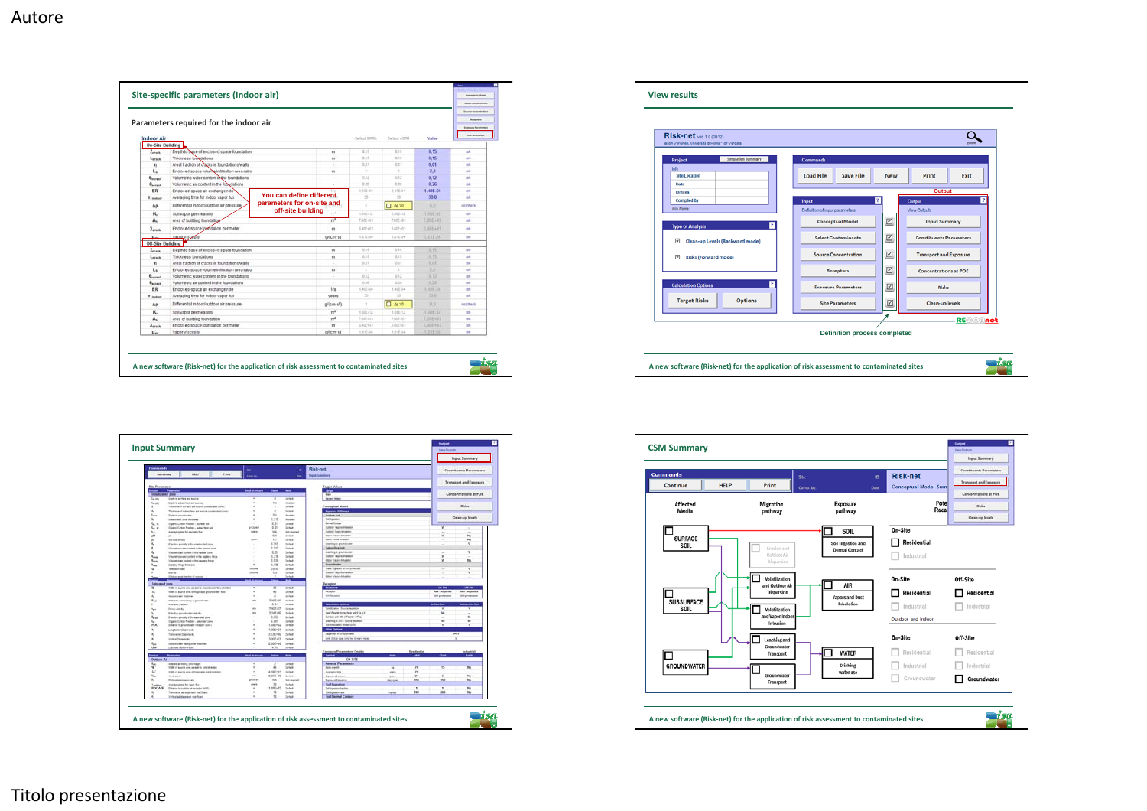| <b>Indoor Air</b>                              |                                               | Default 2255A              | Default ASTM            | Value           | <b>Execute Personates</b><br><b>Staff promption</b> |             |                 |
|------------------------------------------------|-----------------------------------------------|----------------------------|-------------------------|-----------------|-----------------------------------------------------|-------------|-----------------|
| On-Site Building                               |                                               |                            |                         |                 |                                                     |             |                 |
| $L_{\text{train}}$                             | Depth to base of enclosed space foundation    |                            | $\mathfrak{m}$          | 立封              | 4.18                                                | 0.15        | zk              |
| Lorack                                         | Thickness foundations                         |                            | $\mathbf{m}$            | $-2.14$         | $-2.15$                                             | 0.15        | ×               |
| $\mathbf{u}$                                   | Areal fraction of cracks in foundations/walls |                            | $\sim$                  | 0.01            | $-2.21$                                             | 0.01        | ×               |
| L.                                             | Endosed space volume infiltration area ratio  |                            | m                       | Ŧ               | ÷                                                   | 2.0         | $\mathfrak{m}$  |
| $\theta_{\text{current}}$                      | Volumeblic water content in the foundations   |                            | ×                       | 0.12            | 0.12                                                | 0.12        | $\frac{1}{2}$   |
| $\theta_{\text{arrows}}$                       | Volumetric air content in the foundations     |                            | $\sim$                  | 0.20            | 0.20                                                | 0.76        | ÷               |
| <b>ER</b>                                      | Endosed-space air exchange rate               |                            |                         | 1,405.04        | 1,455-04                                            | 1.40E.04    | ÷               |
| T. induor                                      | Averaging time for indoor vapor flux          | You can define different.  |                         | $\overline{35}$ | 50                                                  | 30.0        | $\overline{a}$  |
| Δp                                             | Differential indoorloutdoor air pressure.     | parameters for on-site and |                         | $\alpha$        | $\Box$ do >0                                        | 1.2         | <b>HE Check</b> |
| к.                                             | Soil vapor permeability                       | off-site building          | $\overline{a}$          | 1,908-12        | 1,938.42                                            | 1,305.42    | $\frac{1}{2}$   |
| $A_{n}$                                        | Area of building foundation-                  |                            | m <sup>z</sup>          | 7,005+01        | 7,005+01                                            | T.00E+01    | <b>H</b>        |
| Xerack                                         | Enclosed space foundation perimeter           |                            | m                       | 3,405+01        | 3,405+01                                            | 3,45E+01    | ×               |
|                                                |                                               |                            |                         |                 |                                                     |             |                 |
| <b>Hotel</b>                                   | Vapor Viscosity                               |                            | $g$ <sup>(cm-s)</sup>   | 1,810-04        | 1,212.04                                            | T.21E.04    | $\mathbf{m}$    |
| <b>Off-Site Building</b><br>$z_{\text{const}}$ | Depth to base of enclosed space foundation    |                            | $^{\prime\prime\prime}$ | 0.15            | 0.18                                                | 9.15        | <b>DR</b>       |
| Loraca                                         | Thickness foundations                         |                            | $^{\prime\prime\prime}$ | 0.15            | 4.15                                                | 0.15        | 16              |
| ŋ                                              | Areal fraction of cracks in foundations/walls |                            | 47                      | 5.21            | 0.01                                                | <b>BOIL</b> | ×               |
| L.                                             | Endosed space volume/mf/tration area ratio    |                            | $\mathsf{m}$            | $\pm$           | ÷                                                   | 2.0         | ×               |
| $\theta_{\text{normal}}$                       | Volumetric water content in the foundations   |                            | ÷                       | 2.32            | 0.12                                                | 11, 52      | $\overline{a}$  |
| Barrack                                        | Volumebic air content in the foundations      |                            | $\sim$                  | 0.26            | 4.24                                                | 0.26        | $+8$            |
| ER                                             | Endosed-space air exchange rate               |                            | t/s                     | 1,405-04        | 1,415.04                                            | 1,030.04    | ×               |
| T. indust                                      | Averaging time for indoor vapor flux          |                            | years                   | 30 <sub>1</sub> | 30                                                  | 55.B        | ×               |
| AD.                                            | Differential indocributdoor air pressure      |                            | g/(cm s <sup>p</sup> )  | $\alpha$        | $\Box$ do >0                                        | 百富          | no check        |
| ĸ.                                             | Soil vapor permeability                       |                            | mf                      | 1,026-12        | 1,006.12                                            | LIBE-12     | $\blacksquare$  |
| $A_{n}$                                        | Area of building foundation                   |                            | m <sup>8</sup>          | 7.005+01        | 2,008+01                                            | F.20E+21    | ×               |
|                                                | Endosed space foundation perimeter            |                            | m                       | 3.405+01        | 3,405+01                                            | 乳油圧+0t      | m               |
| Xiran                                          |                                               |                            |                         |                 |                                                     |             |                 |





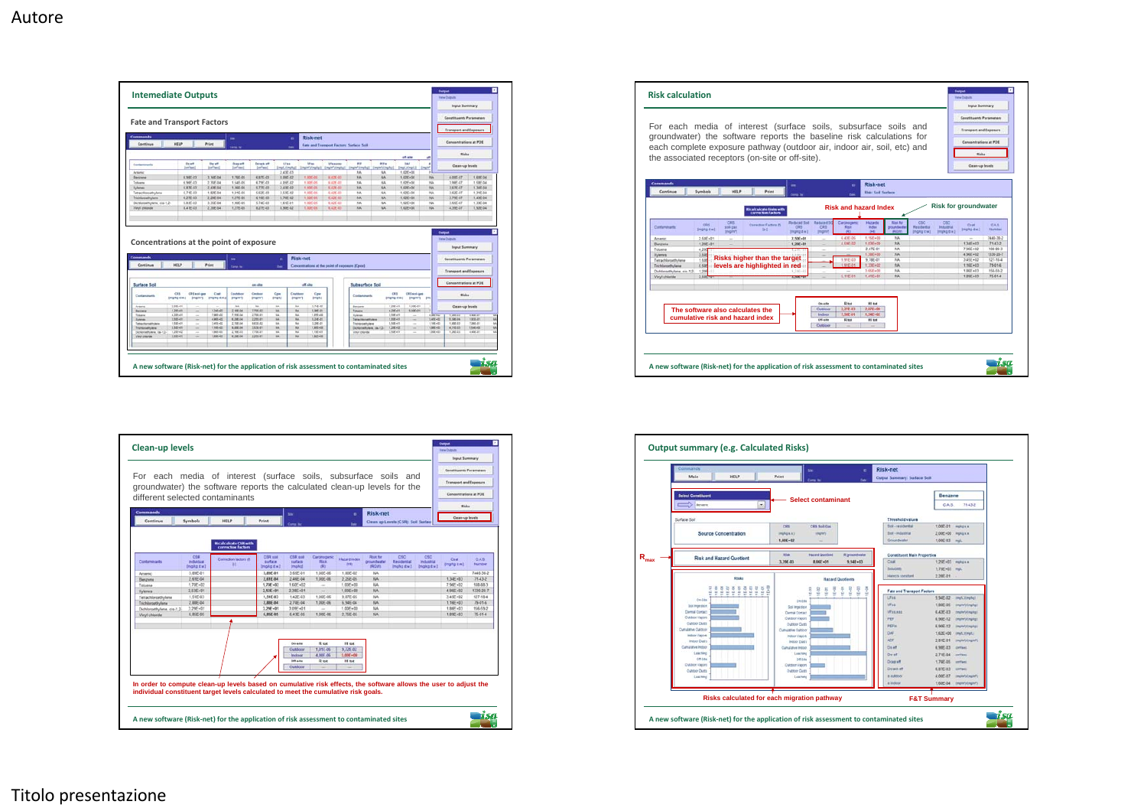

|                                             |                                | groundwater) the software reports the calculated clean-up levels for the<br>different selected contaminants |                                  |                                       |                                   |                      |                                         |                                     |                                 | Consantrations at POE            |                       |
|---------------------------------------------|--------------------------------|-------------------------------------------------------------------------------------------------------------|----------------------------------|---------------------------------------|-----------------------------------|----------------------|-----------------------------------------|-------------------------------------|---------------------------------|----------------------------------|-----------------------|
| <b>Commands</b><br>Continue                 | Symbols                        | HELP                                                                                                        | <b>Print</b>                     | m                                     |                                   | ۰<br>0m              | Risk-net                                | Clean up Levels (CSR): Soil Surface |                                 | <b>Risks</b><br>Cleare up levels |                       |
|                                             |                                | Bicalculcate CSR with<br>correction factors                                                                 |                                  |                                       |                                   |                      |                                         |                                     |                                 |                                  |                       |
| Contaminants                                | CSR<br>Indiadual<br>(mg/kg dw) | Correction factors (f)<br>18                                                                                | CSR soll<br>surface<br>Iwa promo | CSR etil<br>sustace<br><b>Implial</b> | Caronoganic<br><b>Blue</b><br>(R) | Hatard Index<br>040  | <b>Risk for</b><br>proundwater<br>(ROW) | csc<br>Residental<br>Impligitie?    | csc<br>Industrial<br>(mg/kg dw) | Csat<br><b>Bright diw 3</b>      | <b>CAS</b><br>táumber |
| Arsenic                                     | 3.896.01                       |                                                                                                             | 3,896.01                         | 3 66E-01                              | 1,00E.06                          | 1.80E-02             | <b>NA</b>                               |                                     |                                 | $\sim$                           | 7440-38-2             |
| Benzene                                     | 2.61E-04                       |                                                                                                             | 2,61E-04                         | 2 46E-04                              | 1,00E-06                          | 2 2 SE 4 5           | <b>AJA</b>                              |                                     |                                 | $1.34E + 0.3$                    | 7143-2                |
| Takuona                                     | $1.70E + 0.2$                  |                                                                                                             | $1.70E + 0.2$                    | $1.60E + 02$                          | $\sim$                            | $1.006 + 00$         | NA                                      |                                     |                                 | $7.96E + 02$                     | 108-88-3              |
| <b>Xylenes</b>                              | 2.53E+01                       |                                                                                                             | $2.53E + 01$                     | 2.38E+01                              | $\sim$                            | 1,00E+00             | <b>NA</b>                               |                                     |                                 | 4.96E+02                         | 1330-20-7             |
| Tetrachloroethylene                         | 1.51E-03                       |                                                                                                             | 1,51E-03                         | 1.42E-03                              | 1.00E-06                          | 9.87E-05             | NA                                      |                                     |                                 | 3.45E+02                         | 127.18.4              |
| Trichioroethylene                           | 2 BBE-04                       |                                                                                                             | 2,88E-04                         | 2,70E-04<br>3.09E+01                  | 1.00E-06<br><b>Section</b>        | 6.94E-04<br>1.00E+00 | NA.<br>144                              |                                     |                                 | $1.16E + 03$<br>$1.86E + 03$     | 75-01-5<br>156.69.2   |
| Dichloroethylene, cis-1.2-<br>Vanyi chlonde | 3.29E+01<br>6.85F-05           |                                                                                                             | $3.296 - 01$<br>6,85E-05         | E.43E-05                              | 1,006.06                          | 2.75E-05             | <b>NA</b>                               |                                     |                                 | $1.89E + 0.3$                    | 75-01-4               |
|                                             |                                |                                                                                                             |                                  |                                       |                                   |                      |                                         |                                     |                                 |                                  |                       |
|                                             |                                |                                                                                                             |                                  |                                       |                                   |                      |                                         |                                     |                                 |                                  |                       |
|                                             |                                |                                                                                                             |                                  |                                       |                                   |                      |                                         |                                     |                                 |                                  |                       |
|                                             |                                |                                                                                                             |                                  |                                       |                                   |                      |                                         |                                     |                                 |                                  |                       |
|                                             |                                |                                                                                                             |                                  | On alter<br>Outdoor                   | <b>R</b> and<br>1.01E-06          | Hit not<br>9.72E-02  |                                         |                                     |                                 |                                  |                       |
|                                             |                                |                                                                                                             |                                  | Indone                                | 4.005.06                          | $3.006 - 00$         |                                         |                                     |                                 |                                  |                       |
|                                             |                                |                                                                                                             |                                  | Off alter                             | R tot                             | Hi tot               |                                         |                                     |                                 |                                  |                       |
|                                             |                                |                                                                                                             |                                  | Outdoor                               |                                   |                      |                                         |                                     |                                 |                                  |                       |
|                                             |                                |                                                                                                             |                                  |                                       |                                   |                      |                                         |                                     |                                 |                                  |                       |